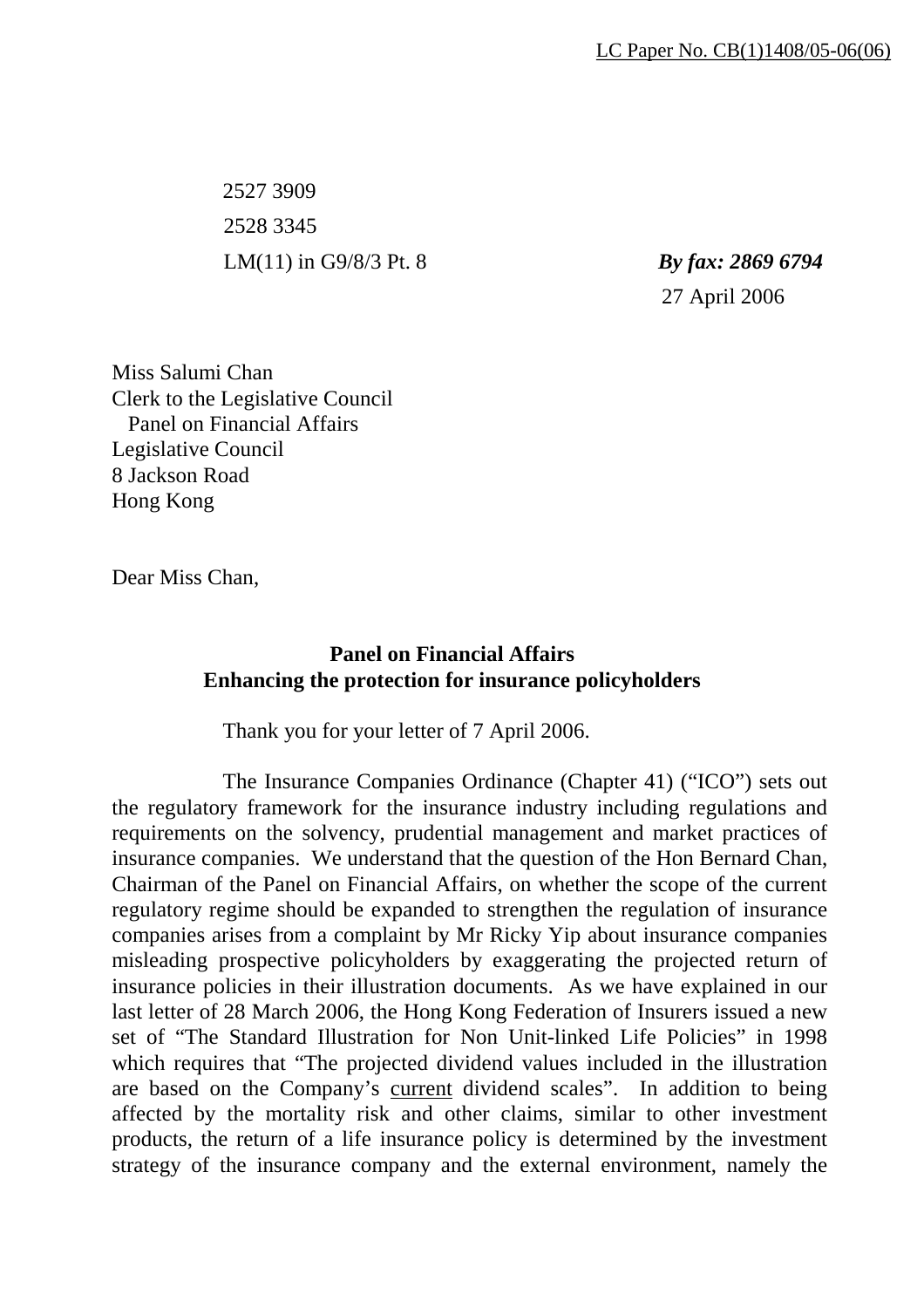2527 3909 2528 3345 LM(11) in G9/8/3 Pt. 8 *By fax: 2869 6794* 

27 April 2006

Miss Salumi Chan Clerk to the Legislative Council Panel on Financial Affairs Legislative Council 8 Jackson Road Hong Kong

Dear Miss Chan,

## **Panel on Financial Affairs Enhancing the protection for insurance policyholders**

Thank you for your letter of 7 April 2006.

 The Insurance Companies Ordinance (Chapter 41) ("ICO") sets out the regulatory framework for the insurance industry including regulations and requirements on the solvency, prudential management and market practices of insurance companies. We understand that the question of the Hon Bernard Chan, Chairman of the Panel on Financial Affairs, on whether the scope of the current regulatory regime should be expanded to strengthen the regulation of insurance companies arises from a complaint by Mr Ricky Yip about insurance companies misleading prospective policyholders by exaggerating the projected return of insurance policies in their illustration documents. As we have explained in our last letter of 28 March 2006, the Hong Kong Federation of Insurers issued a new set of "The Standard Illustration for Non Unit-linked Life Policies" in 1998 which requires that "The projected dividend values included in the illustration are based on the Company's current dividend scales". In addition to being affected by the mortality risk and other claims, similar to other investment products, the return of a life insurance policy is determined by the investment strategy of the insurance company and the external environment, namely the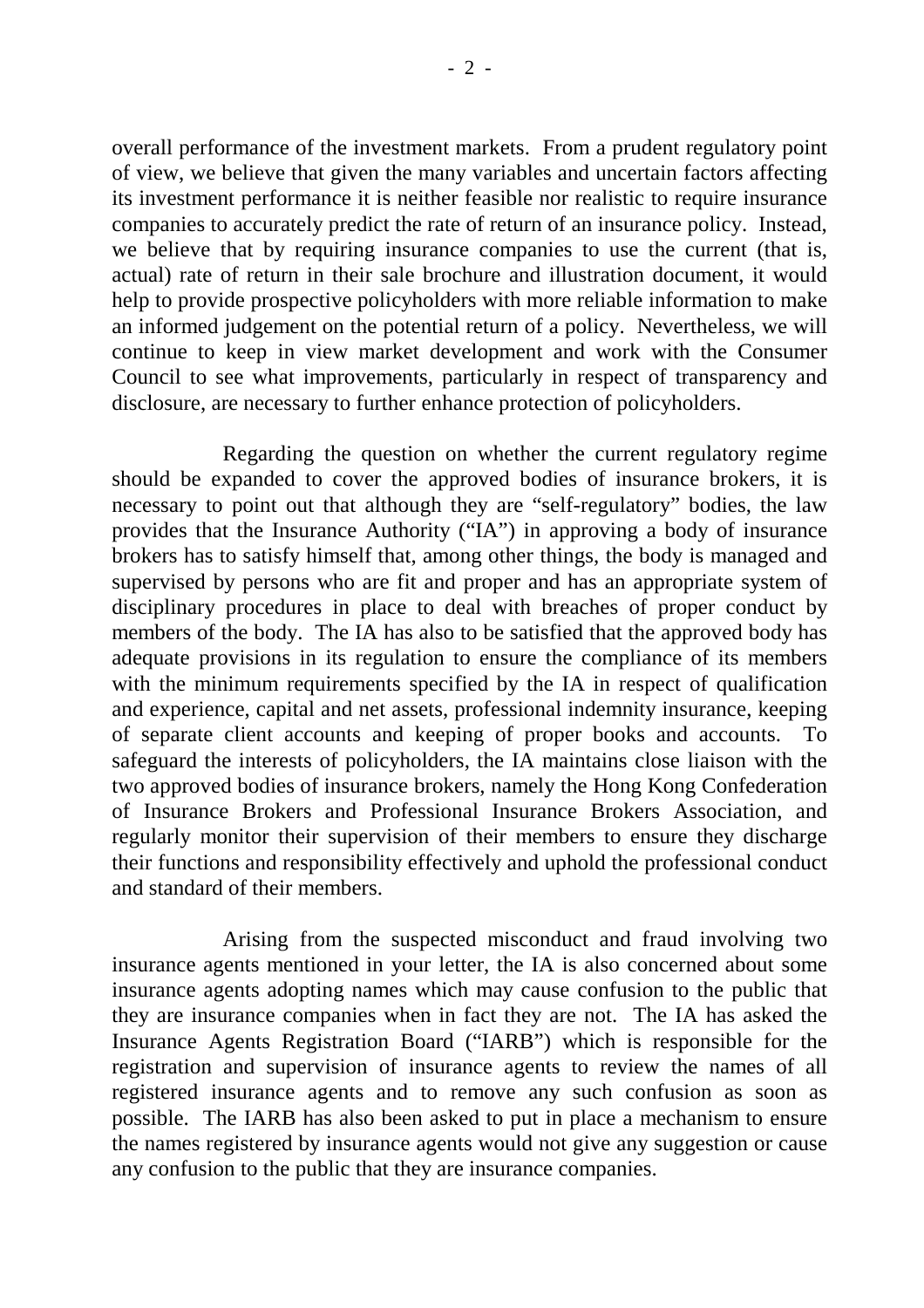overall performance of the investment markets. From a prudent regulatory point of view, we believe that given the many variables and uncertain factors affecting its investment performance it is neither feasible nor realistic to require insurance companies to accurately predict the rate of return of an insurance policy. Instead, we believe that by requiring insurance companies to use the current (that is, actual) rate of return in their sale brochure and illustration document, it would help to provide prospective policyholders with more reliable information to make an informed judgement on the potential return of a policy. Nevertheless, we will continue to keep in view market development and work with the Consumer Council to see what improvements, particularly in respect of transparency and disclosure, are necessary to further enhance protection of policyholders.

 Regarding the question on whether the current regulatory regime should be expanded to cover the approved bodies of insurance brokers, it is necessary to point out that although they are "self-regulatory" bodies, the law provides that the Insurance Authority ("IA") in approving a body of insurance brokers has to satisfy himself that, among other things, the body is managed and supervised by persons who are fit and proper and has an appropriate system of disciplinary procedures in place to deal with breaches of proper conduct by members of the body. The IA has also to be satisfied that the approved body has adequate provisions in its regulation to ensure the compliance of its members with the minimum requirements specified by the IA in respect of qualification and experience, capital and net assets, professional indemnity insurance, keeping of separate client accounts and keeping of proper books and accounts. To safeguard the interests of policyholders, the IA maintains close liaison with the two approved bodies of insurance brokers, namely the Hong Kong Confederation of Insurance Brokers and Professional Insurance Brokers Association, and regularly monitor their supervision of their members to ensure they discharge their functions and responsibility effectively and uphold the professional conduct and standard of their members.

 Arising from the suspected misconduct and fraud involving two insurance agents mentioned in your letter, the IA is also concerned about some insurance agents adopting names which may cause confusion to the public that they are insurance companies when in fact they are not. The IA has asked the Insurance Agents Registration Board ("IARB") which is responsible for the registration and supervision of insurance agents to review the names of all registered insurance agents and to remove any such confusion as soon as possible. The IARB has also been asked to put in place a mechanism to ensure the names registered by insurance agents would not give any suggestion or cause any confusion to the public that they are insurance companies.